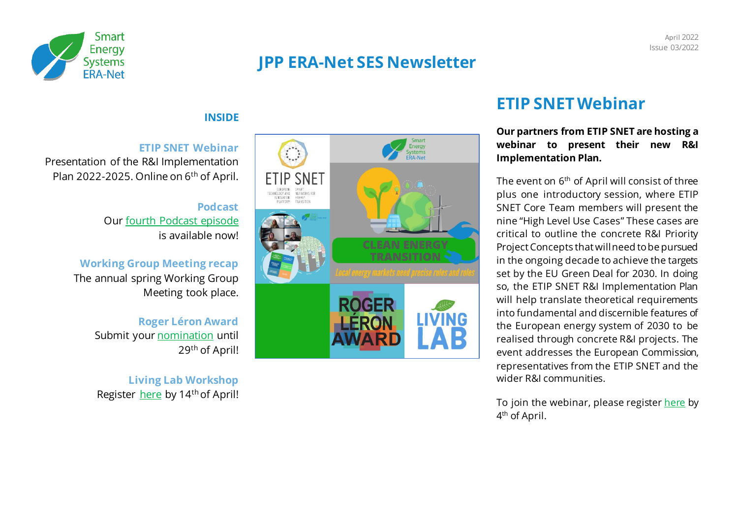

# **JPP ERA-Net SES Newsletter**

### **INSIDE**

#### **ETIP SNET Webinar**

Presentation of the R&I Implementation Plan 2022-2025. Online on 6<sup>th</sup> of April.

#### **Podcast** Ou[r fourth Podcast episode](https://open.spotify.com/episode/1ppmzHlx4PmrvGff4ebqfy) is available now!

# **Working Group Meeting recap**

The annual spring Working Group Meeting took place.

### **Roger Léron Award**  Submit you[r nomination](https://ec.europa.eu/eusurvey/runner/Roger-Leron-Award-2022-Nomination) until 29<sup>th</sup> of April!

**Living Lab Workshop** Register [here](https://link.webropolsurveys.com/EventParticipation/EventPublic/2a5f4a3b-ee77-4dff-8a5a-82d471c49545?displayId=Fin2516020) by 14<sup>th</sup> of April!



## **ETIP SNET Webinar**

#### **Our partners from ETIP SNET are hosting a webinar to present their new R&I Implementation Plan.**

The event on  $6<sup>th</sup>$  of April will consist of three plus one introductory session, where ETIP SNET Core Team members will present the nine "High Level Use Cases" These cases are critical to outline the concrete R&I Priority Project Concepts that will need to be pursued in the ongoing decade to achieve the targets set by the EU Green Deal for 2030. In doing so, the ETIP SNET R&I Implementation Plan will help translate theoretical requirements into fundamental and discernible features of the European energy system of 2030 to be realised through concrete R&I projects. The event addresses the European Commission, representatives from the ETIP SNET and the wider R&I communities.

To join the webinar, please register [here](https://docs.google.com/forms/d/e/1FAIpQLSf7w_o3hXxmPwC67FbDQ57RhHyPt3oJm5qMOp2CACgIMYW5aA/viewform) by 4<sup>th</sup> of April.